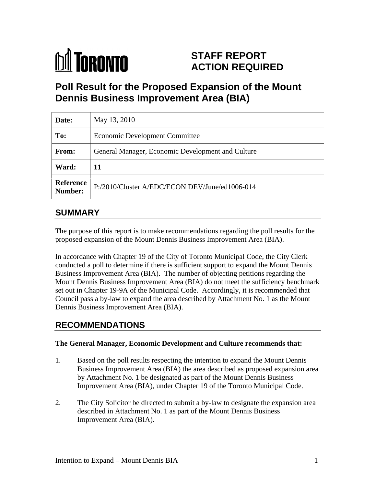

# **STAFF REPORT ACTION REQUIRED**

# **Poll Result for the Proposed Expansion of the Mount Dennis Business Improvement Area (BIA)**

| Date:                | May 13, 2010                                           |
|----------------------|--------------------------------------------------------|
| To:                  | Economic Development Committee                         |
| From:                | General Manager, Economic Development and Culture      |
| Ward:                | 11                                                     |
| Reference<br>Number: | $\vert$ P:/2010/Cluster A/EDC/ECON DEV/June/ed1006-014 |

# **SUMMARY**

The purpose of this report is to make recommendations regarding the poll results for the proposed expansion of the Mount Dennis Business Improvement Area (BIA).

In accordance with Chapter 19 of the City of Toronto Municipal Code, the City Clerk conducted a poll to determine if there is sufficient support to expand the Mount Dennis Business Improvement Area (BIA). The number of objecting petitions regarding the Mount Dennis Business Improvement Area (BIA) do not meet the sufficiency benchmark set out in Chapter 19-9A of the Municipal Code. Accordingly, it is recommended that Council pass a by-law to expand the area described by Attachment No. 1 as the Mount Dennis Business Improvement Area (BIA).

# **RECOMMENDATIONS**

#### **The General Manager, Economic Development and Culture recommends that:**

- 1. Based on the poll results respecting the intention to expand the Mount Dennis Business Improvement Area (BIA) the area described as proposed expansion area by Attachment No. 1 be designated as part of the Mount Dennis Business Improvement Area (BIA), under Chapter 19 of the Toronto Municipal Code.
- 2. The City Solicitor be directed to submit a by-law to designate the expansion area described in Attachment No. 1 as part of the Mount Dennis Business Improvement Area (BIA).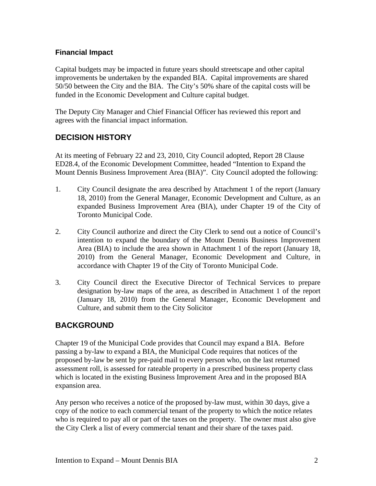#### **Financial Impact**

Capital budgets may be impacted in future years should streetscape and other capital improvements be undertaken by the expanded BIA. Capital improvements are shared 50/50 between the City and the BIA. The City's 50% share of the capital costs will be funded in the Economic Development and Culture capital budget.

The Deputy City Manager and Chief Financial Officer has reviewed this report and agrees with the financial impact information.

# **DECISION HISTORY**

At its meeting of February 22 and 23, 2010, City Council adopted, Report 28 Clause ED28.4, of the Economic Development Committee, headed "Intention to Expand the Mount Dennis Business Improvement Area (BIA)". City Council adopted the following:

- 1. City Council designate the area described by Attachment 1 of the report (January 18, 2010) from the General Manager, Economic Development and Culture, as an expanded Business Improvement Area (BIA), under Chapter 19 of the City of Toronto Municipal Code.
- 2. City Council authorize and direct the City Clerk to send out a notice of Council's intention to expand the boundary of the Mount Dennis Business Improvement Area (BIA) to include the area shown in Attachment 1 of the report (January 18, 2010) from the General Manager, Economic Development and Culture, in accordance with Chapter 19 of the City of Toronto Municipal Code.
- 3. City Council direct the Executive Director of Technical Services to prepare designation by-law maps of the area, as described in Attachment 1 of the report (January 18, 2010) from the General Manager, Economic Development and Culture, and submit them to the City Solicitor

## **BACKGROUND**

Chapter 19 of the Municipal Code provides that Council may expand a BIA. Before passing a by-law to expand a BIA, the Municipal Code requires that notices of the proposed by-law be sent by pre-paid mail to every person who, on the last returned assessment roll, is assessed for rateable property in a prescribed business property class which is located in the existing Business Improvement Area and in the proposed BIA expansion area.

Any person who receives a notice of the proposed by-law must, within 30 days, give a copy of the notice to each commercial tenant of the property to which the notice relates who is required to pay all or part of the taxes on the property. The owner must also give the City Clerk a list of every commercial tenant and their share of the taxes paid.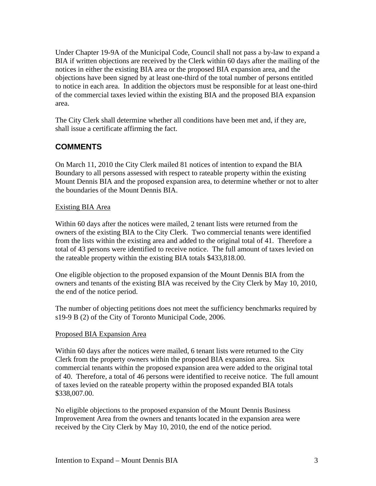Under Chapter 19-9A of the Municipal Code, Council shall not pass a by-law to expand a BIA if written objections are received by the Clerk within 60 days after the mailing of the notices in either the existing BIA area or the proposed BIA expansion area, and the objections have been signed by at least one-third of the total number of persons entitled to notice in each area. In addition the objectors must be responsible for at least one-third of the commercial taxes levied within the existing BIA and the proposed BIA expansion

area. The City Clerk shall determine whether all conditions have been met and, if they are, shall issue a certificate affirming the fact.

## **COMMENTS**

On March 11, 2010 the City Clerk mailed 81 notices of intention to expand the BIA Boundary to all persons assessed with respect to rateable property within the existing Mount Dennis BIA and the proposed expansion area, to determine whether or not to alter the boundaries of the Mount Dennis BIA.

#### Existing BIA Area

Within 60 days after the notices were mailed, 2 tenant lists were returned from the owners of the existing BIA to the City Clerk. Two commercial tenants were identified from the lists within the existing area and added to the original total of 41. Therefore a total of 43 persons were identified to receive notice. The full amount of taxes levied on the rateable property within the existing BIA totals \$433,818.00.

One eligible objection to the proposed expansion of the Mount Dennis BIA from the owners and tenants of the existing BIA was received by the City Clerk by May 10, 2010, the end of the notice period.

The number of objecting petitions does not meet the sufficiency benchmarks required by s19-9 B (2) of the City of Toronto Municipal Code, 2006.

#### Proposed BIA Expansion Area

Within 60 days after the notices were mailed, 6 tenant lists were returned to the City Clerk from the property owners within the proposed BIA expansion area. Six commercial tenants within the proposed expansion area were added to the original total of 40. Therefore, a total of 46 persons were identified to receive notice. The full amount of taxes levied on the rateable property within the proposed expanded BIA totals  $$338,007.00$ .

No eligible objections to the proposed expansion of the Mount Dennis Business Improvement Area from the owners and tenants located in the expansion area were received by the City Clerk by May 10, 2010, the end of the notice period.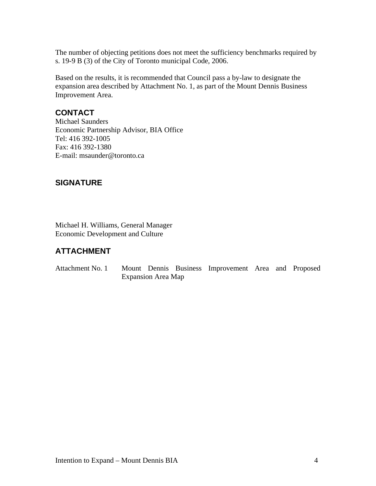The number of objecting petitions does not meet the sufficiency benchmarks required by s. 19-9 B (3) of the City of Toronto municipal Code, 2006.

Based on the results, it is recommended that Council pass a by-law to designate the expansion area described by Attachment No. 1, as part of the Mount Dennis Business Improvement Area.

### **CONTACT**

Michael Saunders Economic Partnership Advisor, BIA Office Tel: 416 392-1005 Fax: 416 392-1380 E-mail: msaunder@toronto.ca

## **SIGNATURE**

Michael H. Williams, General Manager Economic Development and Culture

## **ATTACHMENT**

Attachment No. 1 Mount Dennis Business Improvement Area and Proposed Expansion Area Map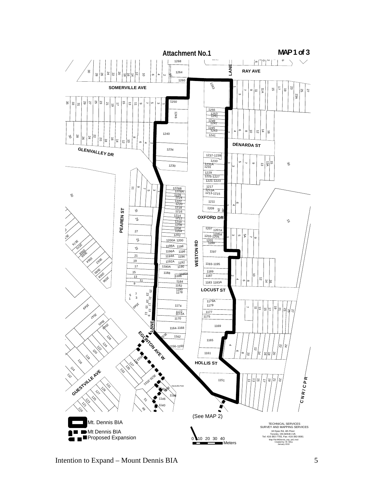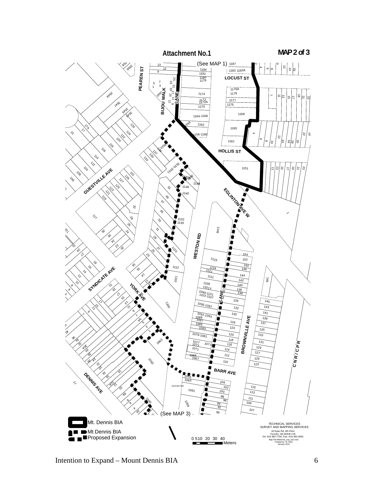